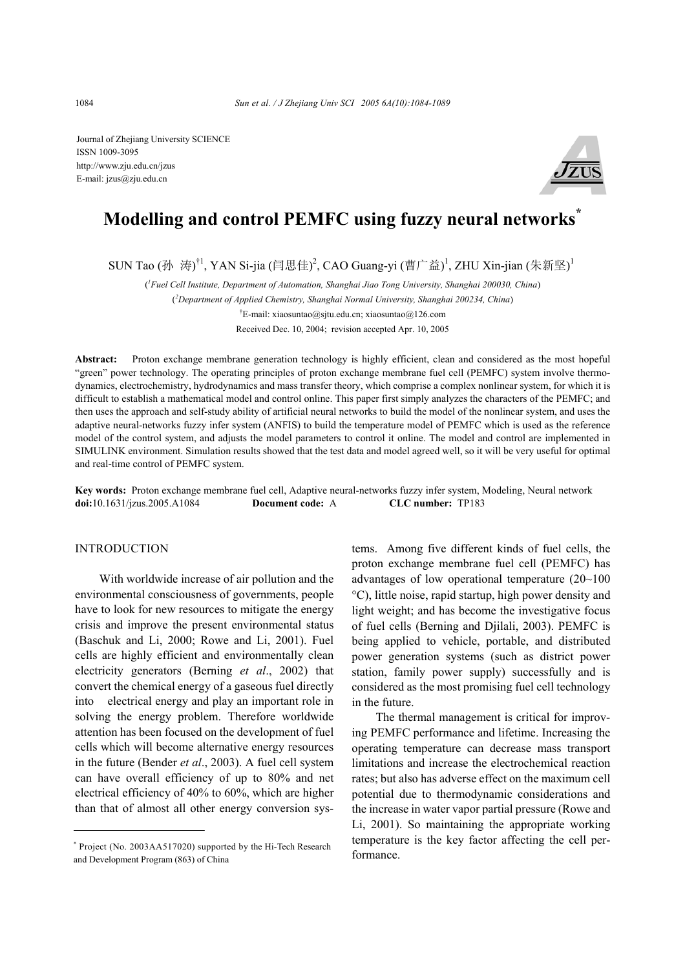Journal of Zhejiang University SCIENCE ISSN 1009-3095 http://www.zju.edu.cn/jzus E-mail: jzus@zju.edu.cn



# **Modelling and control PEMFC using fuzzy neural networks\***

SUN Tao (孙 涛) $^{\dagger1}$ , YAN Si-jia (闫思佳)<sup>2</sup>, CAO Guang-yi (曹广益)<sup>1</sup>, ZHU Xin-jian (朱新坚)<sup>1</sup>

( *1 Fuel Cell Institute, Department of Automation, Shanghai Jiao Tong University, Shanghai 200030, China*)

( *2 Department of Applied Chemistry, Shanghai Normal University, Shanghai 200234, China*)

† E-mail: xiaosuntao@sjtu.edu.cn; xiaosuntao@126.com

Received Dec. 10, 2004; revision accepted Apr. 10, 2005

**Abstract:** Proton exchange membrane generation technology is highly efficient, clean and considered as the most hopeful "green" power technology. The operating principles of proton exchange membrane fuel cell (PEMFC) system involve thermodynamics, electrochemistry, hydrodynamics and mass transfer theory, which comprise a complex nonlinear system, for which it is difficult to establish a mathematical model and control online. This paper first simply analyzes the characters of the PEMFC; and then uses the approach and self-study ability of artificial neural networks to build the model of the nonlinear system, and uses the adaptive neural-networks fuzzy infer system (ANFIS) to build the temperature model of PEMFC which is used as the reference model of the control system, and adjusts the model parameters to control it online. The model and control are implemented in SIMULINK environment. Simulation results showed that the test data and model agreed well, so it will be very useful for optimal and real-time control of PEMFC system.

**Key words:** Proton exchange membrane fuel cell, Adaptive neural-networks fuzzy infer system, Modeling, Neural network **doi:**10.1631/jzus.2005.A1084 **Document code:** A **CLC number:** TP183

## INTRODUCTION

With worldwide increase of air pollution and the environmental consciousness of governments, people have to look for new resources to mitigate the energy crisis and improve the present environmental status (Baschuk and Li, 2000; Rowe and Li, 2001). Fuel cells are highly efficient and environmentally clean electricity generators (Berning *et al*., 2002) that convert the chemical energy of a gaseous fuel directly into electrical energy and play an important role in solving the energy problem. Therefore worldwide attention has been focused on the development of fuel cells which will become alternative energy resources in the future (Bender *et al*., 2003). A fuel cell system can have overall efficiency of up to 80% and net electrical efficiency of 40% to 60%, which are higher than that of almost all other energy conversion systems. Among five different kinds of fuel cells, the proton exchange membrane fuel cell (PEMFC) has advantages of low operational temperature (20~100 °C), little noise, rapid startup, high power density and light weight; and has become the investigative focus of fuel cells (Berning and Djilali, 2003). PEMFC is being applied to vehicle, portable, and distributed power generation systems (such as district power station, family power supply) successfully and is considered as the most promising fuel cell technology in the future.

The thermal management is critical for improving PEMFC performance and lifetime. Increasing the operating temperature can decrease mass transport limitations and increase the electrochemical reaction rates; but also has adverse effect on the maximum cell potential due to thermodynamic considerations and the increase in water vapor partial pressure (Rowe and Li, 2001). So maintaining the appropriate working temperature is the key factor affecting the cell performance.

<sup>\*</sup> Project (No. 2003AA517020) supported by the Hi-Tech Research and Development Program (863) of China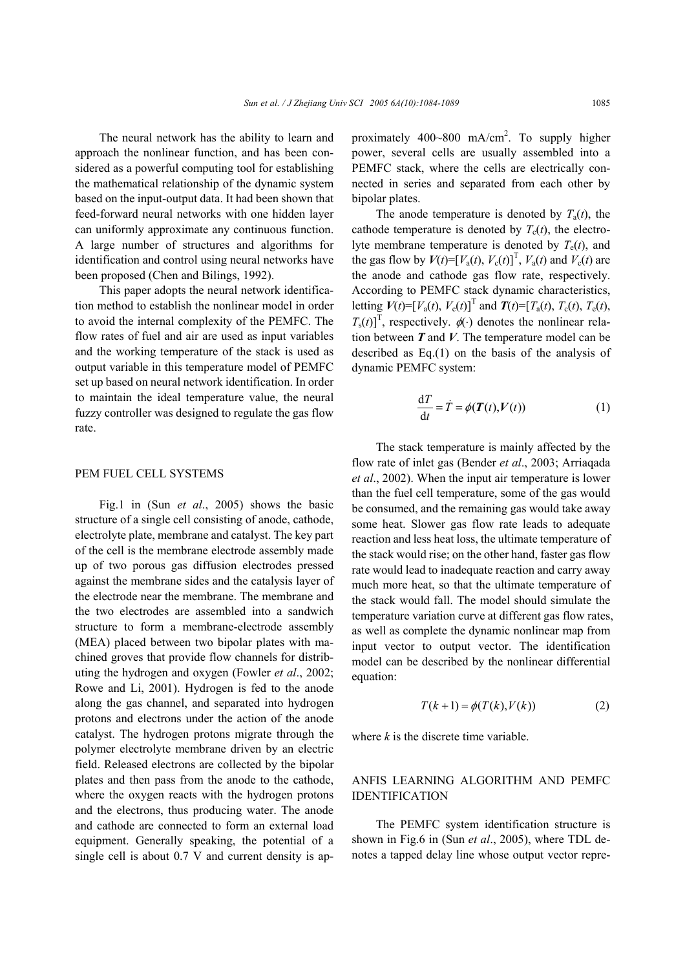The neural network has the ability to learn and approach the nonlinear function, and has been considered as a powerful computing tool for establishing the mathematical relationship of the dynamic system based on the input-output data. It had been shown that feed-forward neural networks with one hidden layer can uniformly approximate any continuous function. A large number of structures and algorithms for identification and control using neural networks have been proposed (Chen and Bilings, 1992).

This paper adopts the neural network identification method to establish the nonlinear model in order to avoid the internal complexity of the PEMFC. The flow rates of fuel and air are used as input variables and the working temperature of the stack is used as output variable in this temperature model of PEMFC set up based on neural network identification. In order to maintain the ideal temperature value, the neural fuzzy controller was designed to regulate the gas flow rate.

### PEM FUEL CELL SYSTEMS

Fig.1 in (Sun *et al*., 2005) shows the basic structure of a single cell consisting of anode, cathode, electrolyte plate, membrane and catalyst. The key part of the cell is the membrane electrode assembly made up of two porous gas diffusion electrodes pressed against the membrane sides and the catalysis layer of the electrode near the membrane. The membrane and the two electrodes are assembled into a sandwich structure to form a membrane-electrode assembly (MEA) placed between two bipolar plates with machined groves that provide flow channels for distributing the hydrogen and oxygen (Fowler *et al*., 2002; Rowe and Li, 2001). Hydrogen is fed to the anode along the gas channel, and separated into hydrogen protons and electrons under the action of the anode catalyst. The hydrogen protons migrate through the polymer electrolyte membrane driven by an electric field. Released electrons are collected by the bipolar plates and then pass from the anode to the cathode, where the oxygen reacts with the hydrogen protons and the electrons, thus producing water. The anode and cathode are connected to form an external load equipment. Generally speaking, the potential of a single cell is about 0.7 V and current density is ap-

proximately  $400 \sim 800$  mA/cm<sup>2</sup>. To supply higher power, several cells are usually assembled into a PEMFC stack, where the cells are electrically connected in series and separated from each other by bipolar plates.

The anode temperature is denoted by  $T_a(t)$ , the cathode temperature is denoted by  $T_c(t)$ , the electrolyte membrane temperature is denoted by  $T_e(t)$ , and the gas flow by  $V(t) = [V_a(t), V_c(t)]^T$ ,  $V_a(t)$  and  $V_c(t)$  are the anode and cathode gas flow rate, respectively. According to PEMFC stack dynamic characteristics, letting  $V(t) = [V_a(t), V_c(t)]^T$  and  $T(t) = [T_a(t), T_c(t), T_e(t)]$  $T_s(t)$ <sup>T</sup>, respectively.  $\phi(\cdot)$  denotes the nonlinear relation between *T* and *V*. The temperature model can be described as Eq.(1) on the basis of the analysis of dynamic PEMFC system:

$$
\frac{\mathrm{d}T}{\mathrm{d}t} = \dot{T} = \phi(\boldsymbol{T}(t), V(t))\tag{1}
$$

The stack temperature is mainly affected by the flow rate of inlet gas (Bender *et al*., 2003; Arriaqada *et al*., 2002). When the input air temperature is lower than the fuel cell temperature, some of the gas would be consumed, and the remaining gas would take away some heat. Slower gas flow rate leads to adequate reaction and less heat loss, the ultimate temperature of the stack would rise; on the other hand, faster gas flow rate would lead to inadequate reaction and carry away much more heat, so that the ultimate temperature of the stack would fall. The model should simulate the temperature variation curve at different gas flow rates, as well as complete the dynamic nonlinear map from input vector to output vector. The identification model can be described by the nonlinear differential equation:

$$
T(k+1) = \phi(T(k), V(k))
$$
 (2)

where *k* is the discrete time variable.

## ANFIS LEARNING ALGORITHM AND PEMFC IDENTIFICATION

The PEMFC system identification structure is shown in Fig.6 in (Sun *et al*., 2005), where TDL denotes a tapped delay line whose output vector repre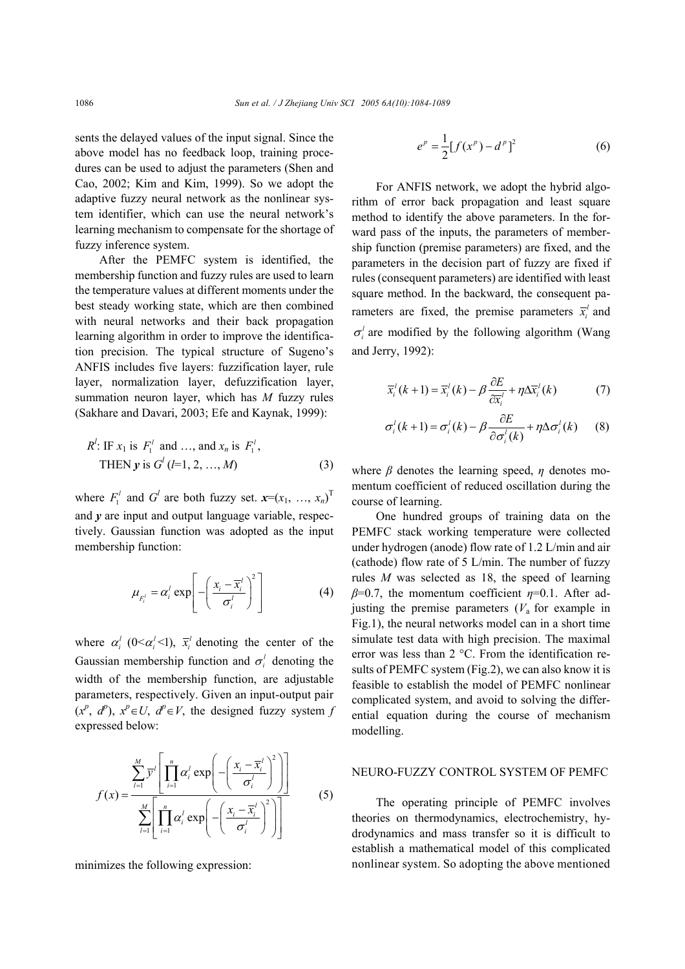sents the delayed values of the input signal. Since the above model has no feedback loop, training procedures can be used to adjust the parameters (Shen and Cao, 2002; Kim and Kim, 1999). So we adopt the adaptive fuzzy neural network as the nonlinear system identifier, which can use the neural network's learning mechanism to compensate for the shortage of fuzzy inference system.

After the PEMFC system is identified, the membership function and fuzzy rules are used to learn the temperature values at different moments under the best steady working state, which are then combined with neural networks and their back propagation learning algorithm in order to improve the identification precision. The typical structure of Sugeno's ANFIS includes five layers: fuzzification layer, rule layer, normalization layer, defuzzification layer, summation neuron layer, which has *M* fuzzy rules (Sakhare and Davari, 2003; Efe and Kaynak, 1999):

$$
R^l
$$
: IF  $x_1$  is  $F_1^l$  and ..., and  $x_n$  is  $F_1^l$ ,  
THEN  $y$  is  $G^l$  ( $l=1, 2, ..., M$ ) (3)

where  $F_1^l$  and  $G^l$  are both fuzzy set.  $\mathbf{x}=(x_1, \ldots, x_n)^T$ and *y* are input and output language variable, respectively. Gaussian function was adopted as the input membership function:

$$
\mu_{F_i^l} = \alpha_i^l \exp\left[-\left(\frac{x_i - \overline{x}_i^l}{\sigma_i^l}\right)^2\right]
$$
 (4)

where  $\alpha_i^l$  (0  $\alpha_i^l$  < 1),  $\overline{x}_i^l$  denoting the center of the Gaussian membership function and  $\sigma_i^l$  denoting the width of the membership function, are adjustable parameters, respectively. Given an input-output pair  $(x^p, d^p)$ ,  $x^p \in U$ ,  $d^p \in V$ , the designed fuzzy system *f* expressed below:

$$
f(x) = \frac{\sum_{l=1}^{M} \overline{y}^{l} \left[ \prod_{i=1}^{n} \alpha_{i}^{l} \exp\left(-\left(\frac{x_{i} - \overline{x}_{i}^{l}}{\sigma_{i}^{l}}\right)^{2}\right) \right]}{\sum_{l=1}^{M} \left[ \prod_{i=1}^{n} \alpha_{i}^{l} \exp\left(-\left(\frac{x_{i} - \overline{x}_{i}^{l}}{\sigma_{i}^{l}}\right)^{2}\right) \right]}
$$
(5)

minimizes the following expression:

$$
e^{p} = \frac{1}{2} [f(x^{p}) - d^{p}]^{2}
$$
 (6)

For ANFIS network, we adopt the hybrid algorithm of error back propagation and least square method to identify the above parameters. In the forward pass of the inputs, the parameters of membership function (premise parameters) are fixed, and the parameters in the decision part of fuzzy are fixed if rules (consequent parameters) are identified with least square method. In the backward, the consequent parameters are fixed, the premise parameters  $\bar{x}_i^l$  and  $\sigma_i^l$  are modified by the following algorithm (Wang and Jerry, 1992):

$$
\overline{x}_{i}^{l}(k+1) = \overline{x}_{i}^{l}(k) - \beta \frac{\partial E}{\partial \overline{x}_{i}^{l}} + \eta \Delta \overline{x}_{i}^{l}(k)
$$
(7)

$$
\sigma_i^l(k+1) = \sigma_i^l(k) - \beta \frac{\partial E}{\partial \sigma_i^l(k)} + \eta \Delta \sigma_i^l(k) \qquad (8)
$$

where  $\beta$  denotes the learning speed,  $\eta$  denotes momentum coefficient of reduced oscillation during the course of learning.

One hundred groups of training data on the PEMFC stack working temperature were collected under hydrogen (anode) flow rate of 1.2 L/min and air (cathode) flow rate of 5 L/min. The number of fuzzy rules *M* was selected as 18, the speed of learning *β*=0.7, the momentum coefficient *η*=0.1. After adjusting the premise parameters  $(V_a)$  for example in Fig.1), the neural networks model can in a short time simulate test data with high precision. The maximal error was less than 2 °C. From the identification results of PEMFC system (Fig.2), we can also know it is feasible to establish the model of PEMFC nonlinear complicated system, and avoid to solving the differential equation during the course of mechanism modelling.

#### NEURO-FUZZY CONTROL SYSTEM OF PEMFC

The operating principle of PEMFC involves theories on thermodynamics, electrochemistry, hydrodynamics and mass transfer so it is difficult to establish a mathematical model of this complicated nonlinear system. So adopting the above mentioned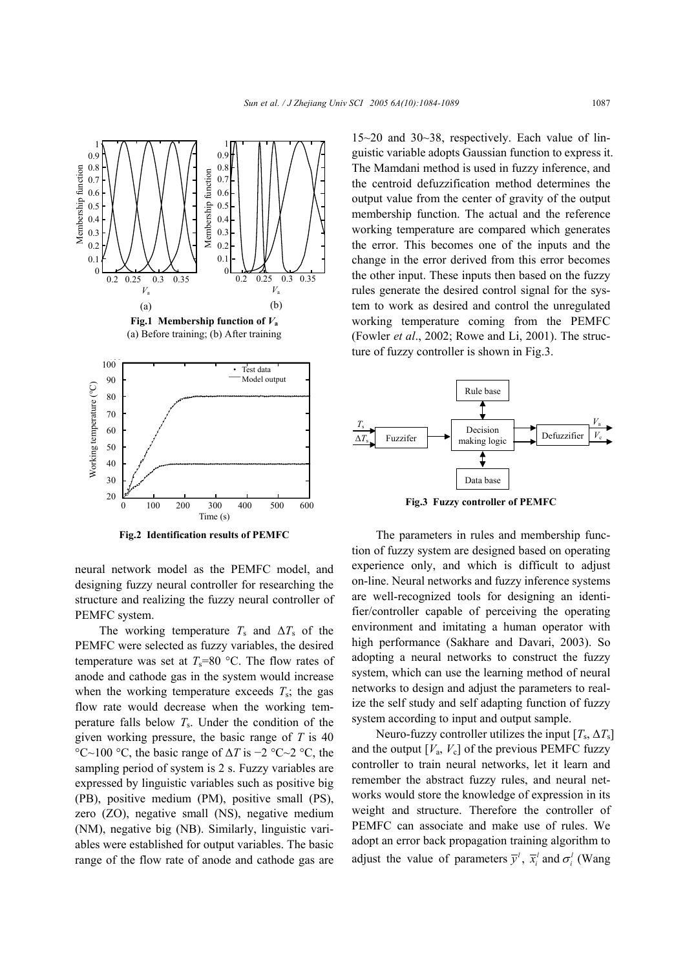

**Fig.2 Identification results of PEMFC** 

neural network model as the PEMFC model, and designing fuzzy neural controller for researching the structure and realizing the fuzzy neural controller of PEMFC system.

The working temperature  $T_s$  and  $\Delta T_s$  of the PEMFC were selected as fuzzy variables, the desired temperature was set at  $T_s$ =80 °C. The flow rates of anode and cathode gas in the system would increase when the working temperature exceeds  $T_s$ ; the gas flow rate would decrease when the working temperature falls below  $T_s$ . Under the condition of the given working pressure, the basic range of *T* is 40 °C~100 °C, the basic range of ∆*T* is −2 °C~2 °C, the sampling period of system is 2 s. Fuzzy variables are expressed by linguistic variables such as positive big (PB), positive medium (PM), positive small (PS), zero (ZO), negative small (NS), negative medium (NM), negative big (NB). Similarly, linguistic variables were established for output variables. The basic range of the flow rate of anode and cathode gas are 15~20 and 30~38, respectively. Each value of linguistic variable adopts Gaussian function to express it. The Mamdani method is used in fuzzy inference, and the centroid defuzzification method determines the output value from the center of gravity of the output membership function. The actual and the reference working temperature are compared which generates the error. This becomes one of the inputs and the change in the error derived from this error becomes the other input. These inputs then based on the fuzzy rules generate the desired control signal for the system to work as desired and control the unregulated working temperature coming from the PEMFC (Fowler *et al*., 2002; Rowe and Li, 2001). The structure of fuzzy controller is shown in Fig.3.





The parameters in rules and membership function of fuzzy system are designed based on operating experience only, and which is difficult to adjust on-line. Neural networks and fuzzy inference systems are well-recognized tools for designing an identifier/controller capable of perceiving the operating environment and imitating a human operator with high performance (Sakhare and Davari, 2003). So adopting a neural networks to construct the fuzzy system, which can use the learning method of neural networks to design and adjust the parameters to realize the self study and self adapting function of fuzzy system according to input and output sample.

Neuro-fuzzy controller utilizes the input  $[T_s, \Delta T_s]$ and the output  $[V_a, V_c]$  of the previous PEMFC fuzzy controller to train neural networks, let it learn and remember the abstract fuzzy rules, and neural networks would store the knowledge of expression in its weight and structure. Therefore the controller of PEMFC can associate and make use of rules. We adopt an error back propagation training algorithm to adjust the value of parameters  $\overline{y}^l$ ,  $\overline{x}_i^l$  and  $\sigma_i^l$  (Wang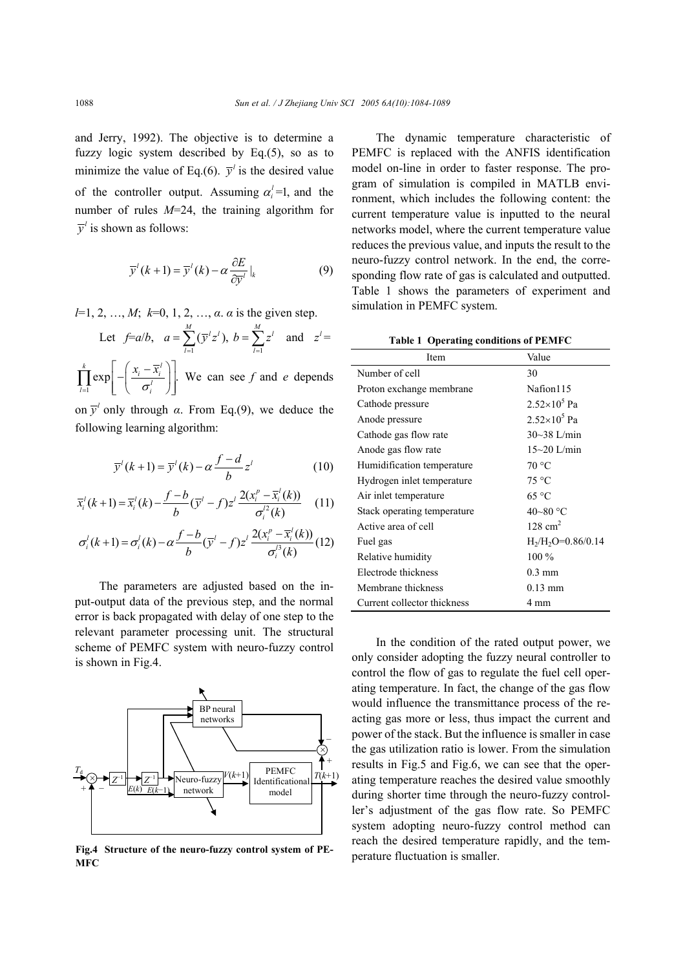and Jerry, 1992). The objective is to determine a fuzzy logic system described by Eq.(5), so as to minimize the value of Eq.(6).  $\bar{v}$  is the desired value of the controller output. Assuming  $\alpha_i^1 = 1$ , and the number of rules *M*=24, the training algorithm for  $\bar{v}^i$  is shown as follows:

$$
\overline{y}^{l}(k+1) = \overline{y}^{l}(k) - \alpha \frac{\partial E}{\partial \overline{y}^{l}}|_{k}
$$
 (9)

*l*=1, 2, …, *M*; *k*=0, 1, 2, …, *α*. *α* is the given step.

Let 
$$
f=a/b
$$
,  $a = \sum_{i=1}^{M} (\overline{y}^{i} z^{i})$ ,  $b = \sum_{i=1}^{M} z^{i}$  and  $z^{i} = \prod_{i=1}^{k} \exp\left[-\left(\frac{x_{i} - \overline{x}_{i}^{i}}{\sigma_{i}^{i}}\right)\right]$ . We can see  $f$  and  $e$  depends

on  $\bar{v}$  only through *α*. From Eq.(9), we deduce the following learning algorithm:

$$
\overline{y}^i(k+1) = \overline{y}^i(k) - \alpha \frac{f - d}{b} z^i
$$
 (10)

$$
\overline{x}_{i}^{l}(k+1) = \overline{x}_{i}^{l}(k) - \frac{f-b}{b}(\overline{y}^{l} - f)z^{l} \frac{2(x_{i}^{p} - \overline{x}_{i}^{l}(k))}{\sigma_{i}^{l^{2}}(k)} \quad (11)
$$

$$
\sigma'_{i}(k+1) = \sigma'_{i}(k) - \alpha \frac{f-b}{b} (\bar{y}' - f) z' \frac{2(x_{i}^{p} - \bar{x}'_{i}(k))}{\sigma'_{i}(k)} (12)
$$

The parameters are adjusted based on the input-output data of the previous step, and the normal error is back propagated with delay of one step to the relevant parameter processing unit. The structural scheme of PEMFC system with neuro-fuzzy control is shown in Fig.4.



**Fig.4 Structure of the neuro-fuzzy control system of PE-MFC**

The dynamic temperature characteristic of PEMFC is replaced with the ANFIS identification model on-line in order to faster response. The program of simulation is compiled in MATLB environment, which includes the following content: the current temperature value is inputted to the neural networks model, where the current temperature value reduces the previous value, and inputs the result to the neuro-fuzzy control network. In the end, the corresponding flow rate of gas is calculated and outputted. Table 1 shows the parameters of experiment and simulation in PEMFC system.

|  |  |  | Table 1 Operating conditions of PEMFC |
|--|--|--|---------------------------------------|
|--|--|--|---------------------------------------|

| Item                        | Value               |  |
|-----------------------------|---------------------|--|
| Number of cell              | 30                  |  |
| Proton exchange membrane    | Nafion115           |  |
| Cathode pressure            | $2.52\times10^5$ Pa |  |
| Anode pressure              | $2.52\times10^5$ Pa |  |
| Cathode gas flow rate       | $30 - 38$ L/min     |  |
| Anode gas flow rate         | $15 - 20$ L/min     |  |
| Humidification temperature  | 70 °C               |  |
| Hydrogen inlet temperature  | 75 °C               |  |
| Air inlet temperature       | 65 °C               |  |
| Stack operating temperature | $40 - 80$ °C        |  |
| Active area of cell         | $128 \text{ cm}^2$  |  |
| Fuel gas                    | $H2/H2O=0.86/0.14$  |  |
| Relative humidity           | $100\%$             |  |
| Electrode thickness         | $0.3 \text{ mm}$    |  |
| Membrane thickness          | $0.13 \text{ mm}$   |  |
| Current collector thickness | 4 mm                |  |

In the condition of the rated output power, we only consider adopting the fuzzy neural controller to control the flow of gas to regulate the fuel cell operating temperature. In fact, the change of the gas flow would influence the transmittance process of the reacting gas more or less, thus impact the current and power of the stack. But the influence is smaller in case the gas utilization ratio is lower. From the simulation results in Fig.5 and Fig.6, we can see that the operating temperature reaches the desired value smoothly during shorter time through the neuro-fuzzy controller's adjustment of the gas flow rate. So PEMFC system adopting neuro-fuzzy control method can reach the desired temperature rapidly, and the temperature fluctuation is smaller.